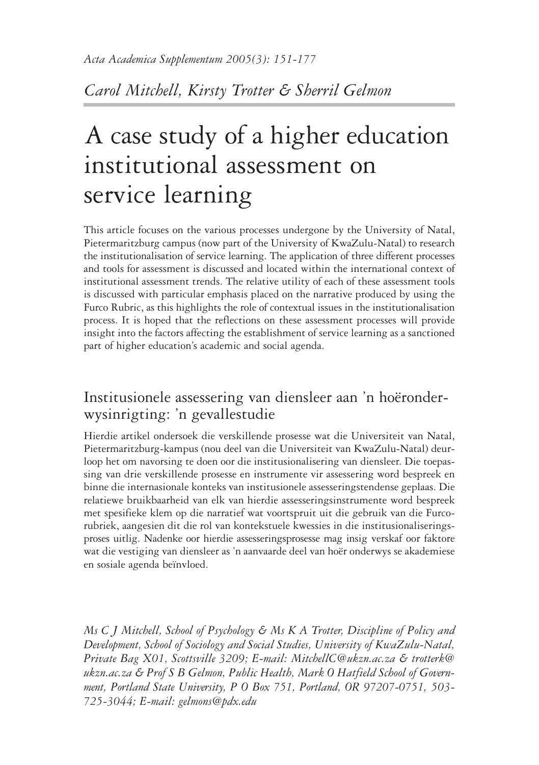*Carol Mitchell, Kirsty Trotter & Sherril Gelmon*

# A case study of a higher education institutional assessment on service learning

This article focuses on the various processes undergone by the University of Natal, Pietermaritzburg campus (now part of the University of KwaZulu-Natal) to research the institutionalisation of service learning. The application of three different processes and tools for assessment is discussed and located within the international context of institutional assessment trends. The relative utility of each of these assessment tools is discussed with particular emphasis placed on the narrative produced by using the Furco Rubric, as this highlights the role of contextual issues in the institutionalisation process. It is hoped that the reflections on these assessment processes will provide insight into the factors affecting the establishment of service learning as a sanctioned part of higher education's academic and social agenda.

# Institusionele assessering van diensleer aan 'n hoëronder- wysinrigting: 'n gevallestudie

Hierdie artikel ondersoek die verskillende prosesse wat die Universiteit van Natal, Pietermaritzburg-kampus (nou deel van die Universiteit van KwaZulu-Natal) deurloop het om navorsing te doen oor die institusionalisering van diensleer. Die toepassing van drie verskillende prosesse en instrumente vir assessering word bespreek en binne die internasionale konteks van institusionele assesseringstendense geplaas. Die relatiewe bruikbaarheid van elk van hierdie assesseringsinstrumente word bespreek met spesifieke klem op die narratief wat voortspruit uit die gebruik van die Furcorubriek, aangesien dit die rol van kontekstuele kwessies in die institusionaliseringsproses uitlig. Nadenke oor hierdie assesseringsprosesse mag insig verskaf oor faktore wat die vestiging van diensleer as 'n aanvaarde deel van hoër onderwys se akademiese en sosiale agenda beïnvloed.

*Ms C J Mitchell, School of Psychology & Ms K A Trotter, Discipline of Policy and Development, School of Sociology and Social Studies, University of KwaZulu-Natal, Private Bag X01, Scottsville 3209; E-mail: MitchellC@ukzn.ac.za & trotterk@ ukzn.ac.za & Prof S B Gelmon, Public Health, Mark O Hatfield School of Government, Portland State University, P O Box 751, Portland, OR 97207-0751, 503- 725-3044; E-mail: gelmons@pdx.edu*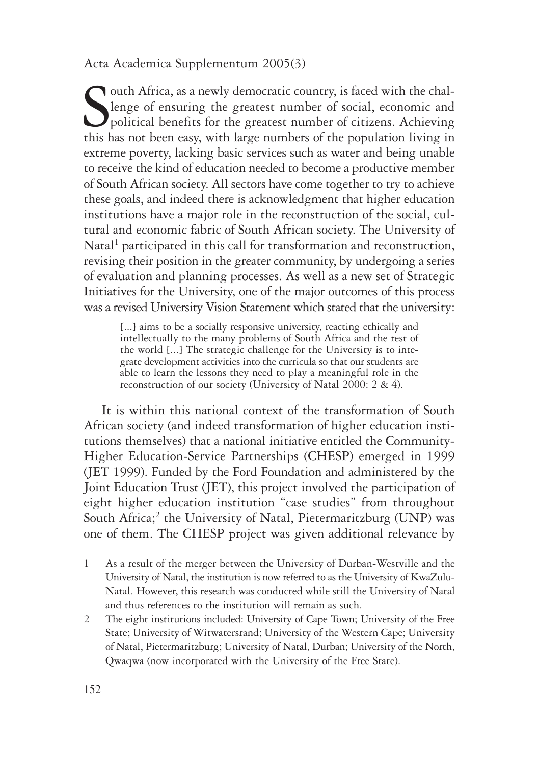S<sub>this</sub> Outh Africa, as a newly democratic country, is faced with the challenge of ensuring the greatest number of social, economic and political benefits for the greatest number of citizens. Achieving this has not been easy, with large numbers of the population living in extreme poverty, lacking basic services such as water and being unable to receive the kind of education needed to become a productive member of South African society. All sectors have come together to try to achieve these goals, and indeed there is acknowledgment that higher education institutions have a major role in the reconstruction of the social, cultural and economic fabric of South African society. The University of Natal<sup>1</sup> participated in this call for transformation and reconstruction, revising their position in the greater community, by undergoing a series of evaluation and planning processes. As well as a new set of Strategic Initiatives for the University, one of the major outcomes of this process was a revised University Vision Statement which stated that the university:

[...] aims to be a socially responsive university, reacting ethically and intellectually to the many problems of South Africa and the rest of the world [...] The strategic challenge for the University is to integrate development activities into the curricula so that our students are able to learn the lessons they need to play a meaningful role in the reconstruction of our society (University of Natal 2000: 2 & 4).

It is within this national context of the transformation of South African society (and indeed transformation of higher education institutions themselves) that a national initiative entitled the Community-Higher Education-Service Partnerships (CHESP) emerged in 1999 (JET 1999). Funded by the Ford Foundation and administered by the Joint Education Trust (JET), this project involved the participation of eight higher education institution "case studies" from throughout South Africa;<sup>2</sup> the University of Natal, Pietermaritzburg (UNP) was one of them. The CHESP project was given additional relevance by

- 1 As a result of the merger between the University of Durban-Westville and the University of Natal, the institution is now referred to as the University of KwaZulu-Natal. However, this research was conducted while still the University of Natal and thus references to the institution will remain as such.
- 2 The eight institutions included: University of Cape Town; University of the Free State; University of Witwatersrand; University of the Western Cape; University of Natal, Pietermaritzburg; University of Natal, Durban; University of the North, Qwaqwa (now incorporated with the University of the Free State).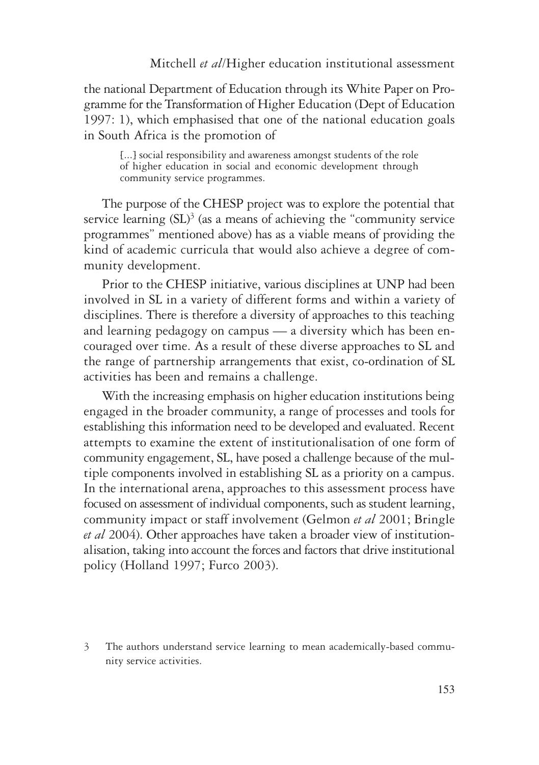the national Department of Education through its White Paper on Programme for the Transformation of Higher Education (Dept of Education 1997: 1), which emphasised that one of the national education goals in South Africa is the promotion of

[...] social responsibility and awareness amongst students of the role of higher education in social and economic development through community service programmes.

The purpose of the CHESP project was to explore the potential that service learning  $(SL)^3$  (as a means of achieving the "community service programmes" mentioned above) has as a viable means of providing the kind of academic curricula that would also achieve a degree of community development.

Prior to the CHESP initiative, various disciplines at UNP had been involved in SL in a variety of different forms and within a variety of disciplines. There is therefore a diversity of approaches to this teaching and learning pedagogy on campus — a diversity which has been encouraged over time. As a result of these diverse approaches to SL and the range of partnership arrangements that exist, co-ordination of SL activities has been and remains a challenge.

With the increasing emphasis on higher education institutions being engaged in the broader community, a range of processes and tools for establishing this information need to be developed and evaluated. Recent attempts to examine the extent of institutionalisation of one form of community engagement, SL, have posed a challenge because of the multiple components involved in establishing SL as a priority on a campus. In the international arena, approaches to this assessment process have focused on assessment of individual components, such as student learning, community impact or staff involvement (Gelmon *et al* 2001; Bringle *et al* 2004). Other approaches have taken a broader view of institutionalisation, taking into account the forces and factors that drive institutional policy (Holland 1997; Furco 2003).

<sup>3</sup> The authors understand service learning to mean academically-based community service activities.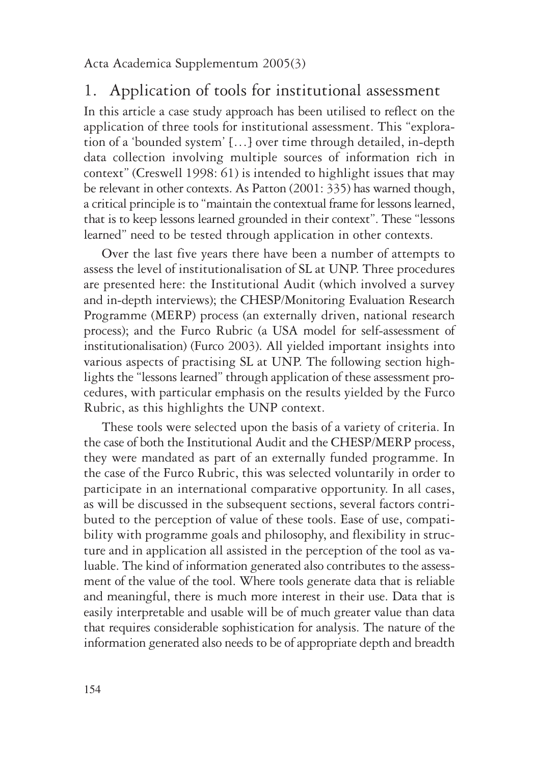# 1. Application of tools for institutional assessment

In this article a case study approach has been utilised to reflect on the application of three tools for institutional assessment. This "exploration of a 'bounded system' […] over time through detailed, in-depth data collection involving multiple sources of information rich in context" (Creswell 1998: 61) is intended to highlight issues that may be relevant in other contexts. As Patton (2001: 335) has warned though, a critical principle is to "maintain the contextual frame for lessons learned, that is to keep lessons learned grounded in their context". These "lessons learned" need to be tested through application in other contexts.

Over the last five years there have been a number of attempts to assess the level of institutionalisation of SL at UNP. Three procedures are presented here: the Institutional Audit (which involved a survey and in-depth interviews); the CHESP/Monitoring Evaluation Research Programme (MERP) process (an externally driven, national research process); and the Furco Rubric (a USA model for self-assessment of institutionalisation) (Furco 2003). All yielded important insights into various aspects of practising SL at UNP. The following section highlights the "lessons learned" through application of these assessment procedures, with particular emphasis on the results yielded by the Furco Rubric, as this highlights the UNP context.

These tools were selected upon the basis of a variety of criteria. In the case of both the Institutional Audit and the CHESP/MERP process, they were mandated as part of an externally funded programme. In the case of the Furco Rubric, this was selected voluntarily in order to participate in an international comparative opportunity. In all cases, as will be discussed in the subsequent sections, several factors contributed to the perception of value of these tools. Ease of use, compatibility with programme goals and philosophy, and flexibility in structure and in application all assisted in the perception of the tool as valuable. The kind of information generated also contributes to the assessment of the value of the tool. Where tools generate data that is reliable and meaningful, there is much more interest in their use. Data that is easily interpretable and usable will be of much greater value than data that requires considerable sophistication for analysis. The nature of the information generated also needs to be of appropriate depth and breadth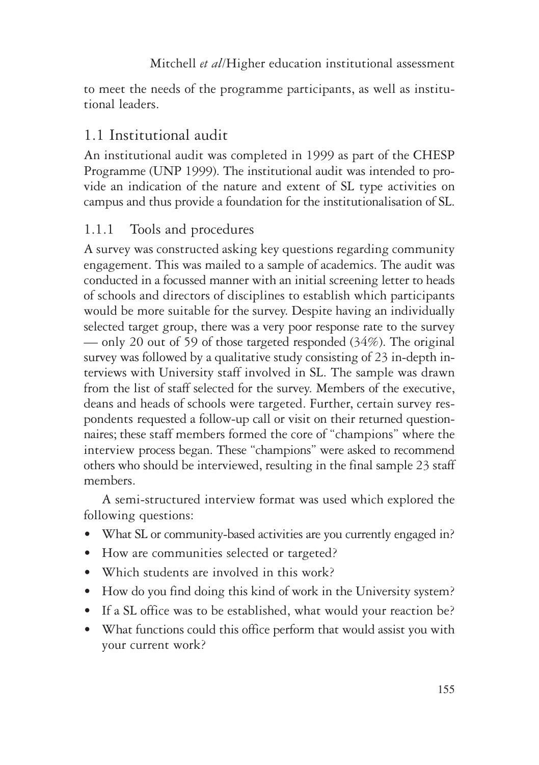to meet the needs of the programme participants, as well as institutional leaders.

# 1.1 Institutional audit

An institutional audit was completed in 1999 as part of the CHESP Programme (UNP 1999). The institutional audit was intended to provide an indication of the nature and extent of SL type activities on campus and thus provide a foundation for the institutionalisation of SL.

## 1.1.1 Tools and procedures

A survey was constructed asking key questions regarding community engagement. This was mailed to a sample of academics. The audit was conducted in a focussed manner with an initial screening letter to heads of schools and directors of disciplines to establish which participants would be more suitable for the survey. Despite having an individually selected target group, there was a very poor response rate to the survey — only 20 out of 59 of those targeted responded (34%). The original survey was followed by a qualitative study consisting of 23 in-depth interviews with University staff involved in SL. The sample was drawn from the list of staff selected for the survey. Members of the executive, deans and heads of schools were targeted. Further, certain survey respondents requested a follow-up call or visit on their returned questionnaires; these staff members formed the core of "champions" where the interview process began. These "champions" were asked to recommend others who should be interviewed, resulting in the final sample 23 staff members.

A semi-structured interview format was used which explored the following questions:

- What SL or community-based activities are you currently engaged in?
- How are communities selected or targeted?
- Which students are involved in this work?
- How do you find doing this kind of work in the University system?
- If a SL office was to be established, what would your reaction be?
- What functions could this office perform that would assist you with your current work?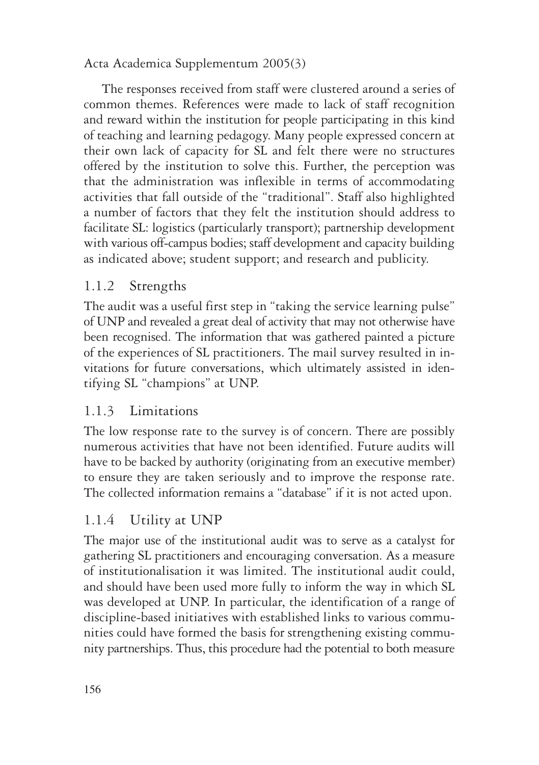The responses received from staff were clustered around a series of common themes. References were made to lack of staff recognition and reward within the institution for people participating in this kind of teaching and learning pedagogy. Many people expressed concern at their own lack of capacity for SL and felt there were no structures offered by the institution to solve this. Further, the perception was that the administration was inflexible in terms of accommodating activities that fall outside of the "traditional". Staff also highlighted a number of factors that they felt the institution should address to facilitate SL: logistics (particularly transport); partnership development with various off-campus bodies; staff development and capacity building as indicated above; student support; and research and publicity.

### 1.1.2 Strengths

The audit was a useful first step in "taking the service learning pulse" of UNP and revealed a great deal of activity that may not otherwise have been recognised. The information that was gathered painted a picture of the experiences of SL practitioners. The mail survey resulted in invitations for future conversations, which ultimately assisted in identifying SL "champions" at UNP.

## 1.1.3 Limitations

The low response rate to the survey is of concern. There are possibly numerous activities that have not been identified. Future audits will have to be backed by authority (originating from an executive member) to ensure they are taken seriously and to improve the response rate. The collected information remains a "database" if it is not acted upon.

## 1.1.4 Utility at UNP

The major use of the institutional audit was to serve as a catalyst for gathering SL practitioners and encouraging conversation. As a measure of institutionalisation it was limited. The institutional audit could, and should have been used more fully to inform the way in which SL was developed at UNP. In particular, the identification of a range of discipline-based initiatives with established links to various communities could have formed the basis for strengthening existing community partnerships. Thus, this procedure had the potential to both measure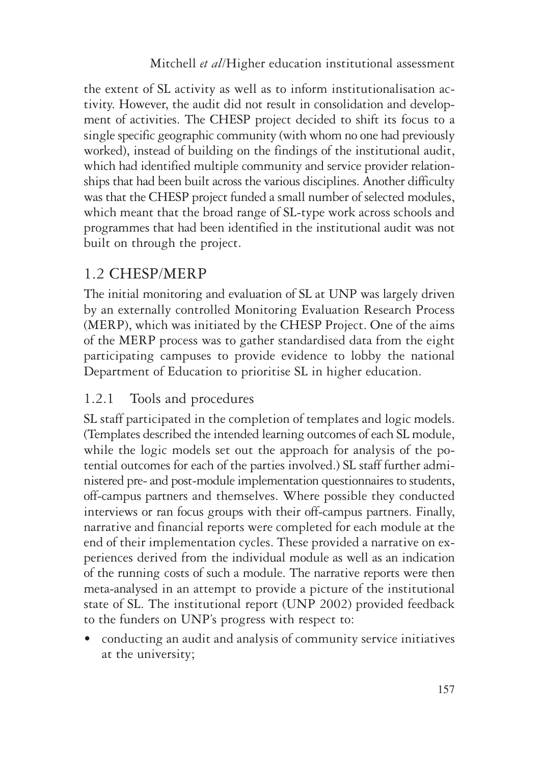the extent of SL activity as well as to inform institutionalisation activity. However, the audit did not result in consolidation and development of activities. The CHESP project decided to shift its focus to a single specific geographic community (with whom no one had previously worked), instead of building on the findings of the institutional audit, which had identified multiple community and service provider relationships that had been built across the various disciplines. Another difficulty was that the CHESP project funded a small number of selected modules, which meant that the broad range of SL-type work across schools and programmes that had been identified in the institutional audit was not built on through the project.

# 1.2 CHESP/MERP

The initial monitoring and evaluation of SL at UNP was largely driven by an externally controlled Monitoring Evaluation Research Process (MERP), which was initiated by the CHESP Project. One of the aims of the MERP process was to gather standardised data from the eight participating campuses to provide evidence to lobby the national Department of Education to prioritise SL in higher education.

## 1.2.1 Tools and procedures

SL staff participated in the completion of templates and logic models. (Templates described the intended learning outcomes of each SL module, while the logic models set out the approach for analysis of the potential outcomes for each of the parties involved.) SL staff further administered pre- and post-module implementation questionnaires to students, off-campus partners and themselves. Where possible they conducted interviews or ran focus groups with their off-campus partners. Finally, narrative and financial reports were completed for each module at the end of their implementation cycles. These provided a narrative on experiences derived from the individual module as well as an indication of the running costs of such a module. The narrative reports were then meta-analysed in an attempt to provide a picture of the institutional state of SL. The institutional report (UNP 2002) provided feedback to the funders on UNP's progress with respect to:

• conducting an audit and analysis of community service initiatives at the university;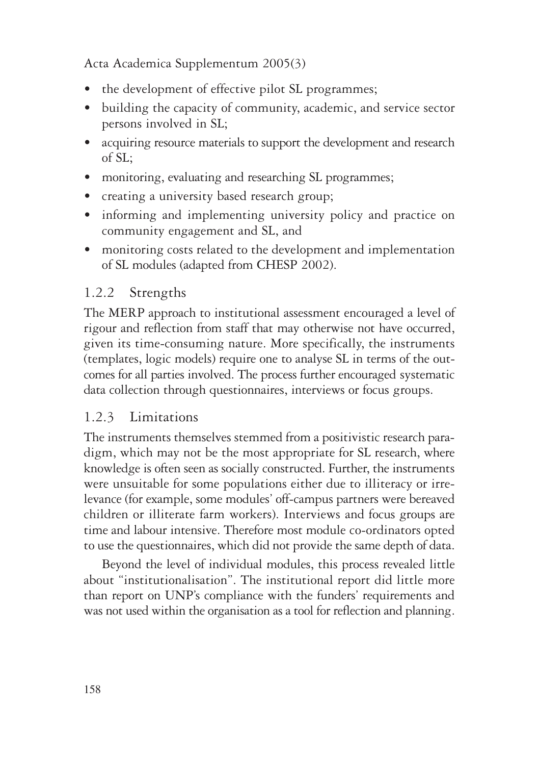- the development of effective pilot SL programmes;
- building the capacity of community, academic, and service sector persons involved in SL;
- acquiring resource materials to support the development and research of SL;
- monitoring, evaluating and researching SL programmes;
- creating a university based research group;
- informing and implementing university policy and practice on community engagement and SL, and
- monitoring costs related to the development and implementation of SL modules (adapted from CHESP 2002).

# 1.2.2 Strengths

The MERP approach to institutional assessment encouraged a level of rigour and reflection from staff that may otherwise not have occurred, given its time-consuming nature. More specifically, the instruments (templates, logic models) require one to analyse SL in terms of the outcomes for all parties involved. The process further encouraged systematic data collection through questionnaires, interviews or focus groups.

## 1.2.3 Limitations

The instruments themselves stemmed from a positivistic research paradigm, which may not be the most appropriate for SL research, where knowledge is often seen as socially constructed. Further, the instruments were unsuitable for some populations either due to illiteracy or irrelevance (for example, some modules' off-campus partners were bereaved children or illiterate farm workers). Interviews and focus groups are time and labour intensive. Therefore most module co-ordinators opted to use the questionnaires, which did not provide the same depth of data.

Beyond the level of individual modules, this process revealed little about "institutionalisation". The institutional report did little more than report on UNP's compliance with the funders' requirements and was not used within the organisation as a tool for reflection and planning.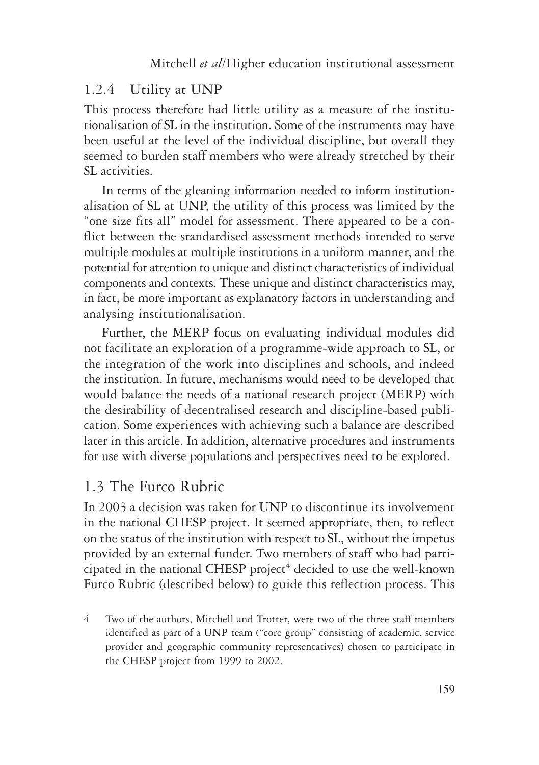### 1.2.4 Utility at UNP

This process therefore had little utility as a measure of the institutionalisation of SL in the institution. Some of the instruments may have been useful at the level of the individual discipline, but overall they seemed to burden staff members who were already stretched by their SL activities.

In terms of the gleaning information needed to inform institutionalisation of SL at UNP, the utility of this process was limited by the "one size fits all" model for assessment. There appeared to be a conflict between the standardised assessment methods intended to serve multiple modules at multiple institutions in a uniform manner, and the potential for attention to unique and distinct characteristics of individual components and contexts. These unique and distinct characteristics may, in fact, be more important as explanatory factors in understanding and analysing institutionalisation.

Further, the MERP focus on evaluating individual modules did not facilitate an exploration of a programme-wide approach to SL, or the integration of the work into disciplines and schools, and indeed the institution. In future, mechanisms would need to be developed that would balance the needs of a national research project (MERP) with the desirability of decentralised research and discipline-based publication. Some experiences with achieving such a balance are described later in this article. In addition, alternative procedures and instruments for use with diverse populations and perspectives need to be explored.

### 1.3 The Furco Rubric

In 2003 a decision was taken for UNP to discontinue its involvement in the national CHESP project. It seemed appropriate, then, to reflect on the status of the institution with respect to SL, without the impetus provided by an external funder. Two members of staff who had participated in the national CHESP project<sup>4</sup> decided to use the well-known Furco Rubric (described below) to guide this reflection process. This

4 Two of the authors, Mitchell and Trotter, were two of the three staff members identified as part of a UNP team ("core group" consisting of academic, service provider and geographic community representatives) chosen to participate in the CHESP project from 1999 to 2002.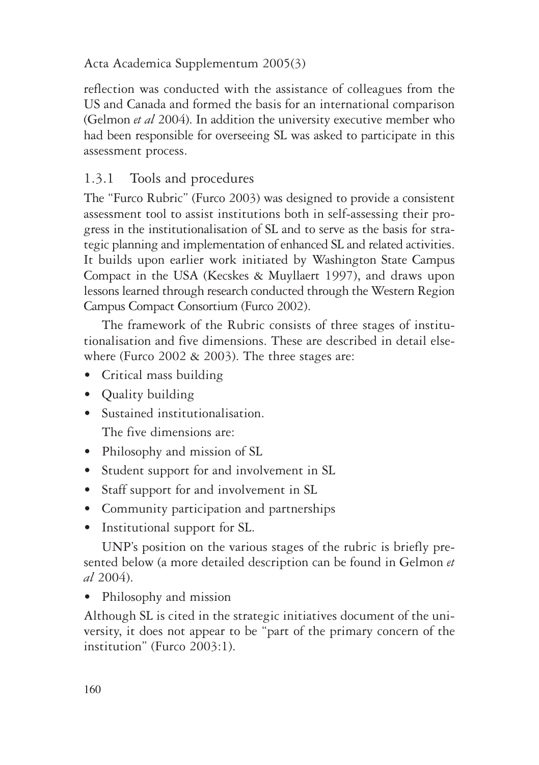reflection was conducted with the assistance of colleagues from the US and Canada and formed the basis for an international comparison (Gelmon *et al* 2004). In addition the university executive member who had been responsible for overseeing SL was asked to participate in this assessment process.

# 1.3.1 Tools and procedures

The "Furco Rubric" (Furco 2003) was designed to provide a consistent assessment tool to assist institutions both in self-assessing their progress in the institutionalisation of SL and to serve as the basis for strategic planning and implementation of enhanced SL and related activities. It builds upon earlier work initiated by Washington State Campus Compact in the USA (Kecskes & Muyllaert 1997), and draws upon lessons learned through research conducted through the Western Region Campus Compact Consortium (Furco 2002).

The framework of the Rubric consists of three stages of institutionalisation and five dimensions. These are described in detail elsewhere (Furco 2002  $\&$  2003). The three stages are:

- Critical mass building
- Quality building
- Sustained institutionalisation. The five dimensions are:
- Philosophy and mission of SL
- Student support for and involvement in SL
- Staff support for and involvement in SL
- Community participation and partnerships
- Institutional support for SL.

UNP's position on the various stages of the rubric is briefly presented below (a more detailed description can be found in Gelmon *et al* 2004).

• Philosophy and mission

Although SL is cited in the strategic initiatives document of the university, it does not appear to be "part of the primary concern of the institution" (Furco 2003:1).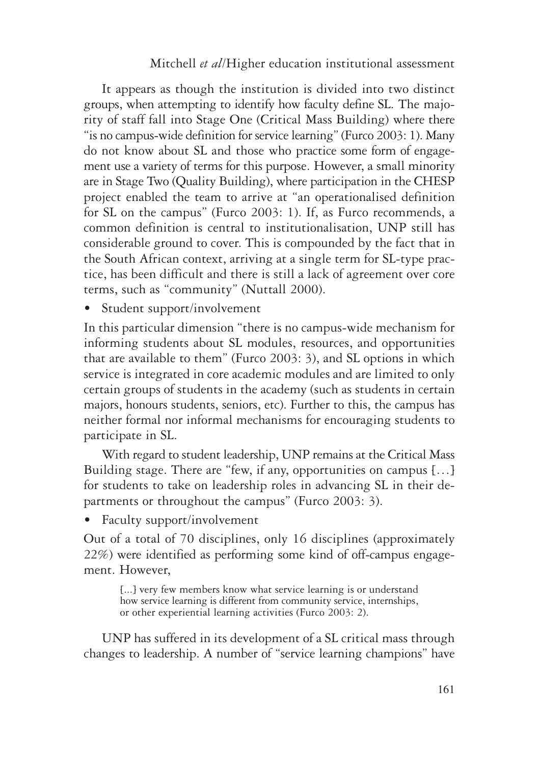It appears as though the institution is divided into two distinct groups, when attempting to identify how faculty define SL. The majority of staff fall into Stage One (Critical Mass Building) where there "is no campus-wide definition for service learning" (Furco 2003: 1). Many do not know about SL and those who practice some form of engagement use a variety of terms for this purpose. However, a small minority are in Stage Two (Quality Building), where participation in the CHESP project enabled the team to arrive at "an operationalised definition for SL on the campus" (Furco 2003: 1). If, as Furco recommends, a common definition is central to institutionalisation, UNP still has considerable ground to cover. This is compounded by the fact that in the South African context, arriving at a single term for SL-type practice, has been difficult and there is still a lack of agreement over core terms, such as "community" (Nuttall 2000).

Student support/involvement

In this particular dimension "there is no campus-wide mechanism for informing students about SL modules, resources, and opportunities that are available to them" (Furco 2003: 3), and SL options in which service is integrated in core academic modules and are limited to only certain groups of students in the academy (such as students in certain majors, honours students, seniors, etc). Further to this, the campus has neither formal nor informal mechanisms for encouraging students to participate in SL.

With regard to student leadership, UNP remains at the Critical Mass Building stage. There are "few, if any, opportunities on campus […] for students to take on leadership roles in advancing SL in their departments or throughout the campus" (Furco 2003: 3).

• Faculty support/involvement

Out of a total of 70 disciplines, only 16 disciplines (approximately 22%) were identified as performing some kind of off-campus engagement. However,

[...] very few members know what service learning is or understand how service learning is different from community service, internships, or other experiential learning activities (Furco 2003: 2).

UNP has suffered in its development of a SL critical mass through changes to leadership. A number of "service learning champions" have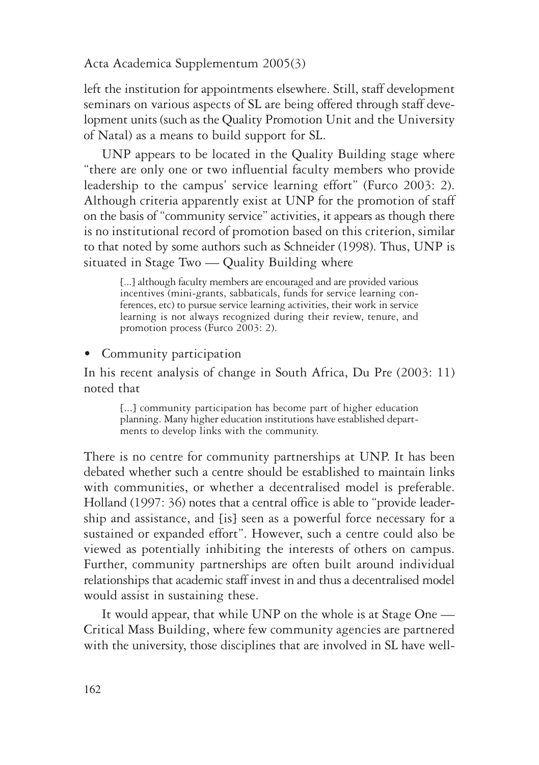left the institution for appointments elsewhere. Still, staff development seminars on various aspects of SL are being offered through staff development units (such as the Quality Promotion Unit and the University of Natal) as a means to build support for SL.

UNP appears to be located in the Quality Building stage where "there are only one or two influential faculty members who provide leadership to the campus' service learning effort" (Furco 2003: 2). Although criteria apparently exist at UNP for the promotion of staff on the basis of "community service" activities, it appears as though there is no institutional record of promotion based on this criterion, similar to that noted by some authors such as Schneider (1998). Thus, UNP is situated in Stage Two — Quality Building where

[...] although faculty members are encouraged and are provided various incentives (mini-grants, sabbaticals, funds for service learning conferences, etc) to pursue service learning activities, their work in service learning is not always recognized during their review, tenure, and promotion process (Furco 2003: 2).

• Community participation

In his recent analysis of change in South Africa, Du Pre (2003: 11) noted that

[...] community participation has become part of higher education planning. Many higher education institutions have established departments to develop links with the community.

There is no centre for community partnerships at UNP. It has been debated whether such a centre should be established to maintain links with communities, or whether a decentralised model is preferable. Holland (1997: 36) notes that a central office is able to "provide leadership and assistance, and [is] seen as a powerful force necessary for a sustained or expanded effort". However, such a centre could also be viewed as potentially inhibiting the interests of others on campus. Further, community partnerships are often built around individual relationships that academic staff invest in and thus a decentralised model would assist in sustaining these.

It would appear, that while UNP on the whole is at Stage One — Critical Mass Building, where few community agencies are partnered with the university, those disciplines that are involved in SL have well-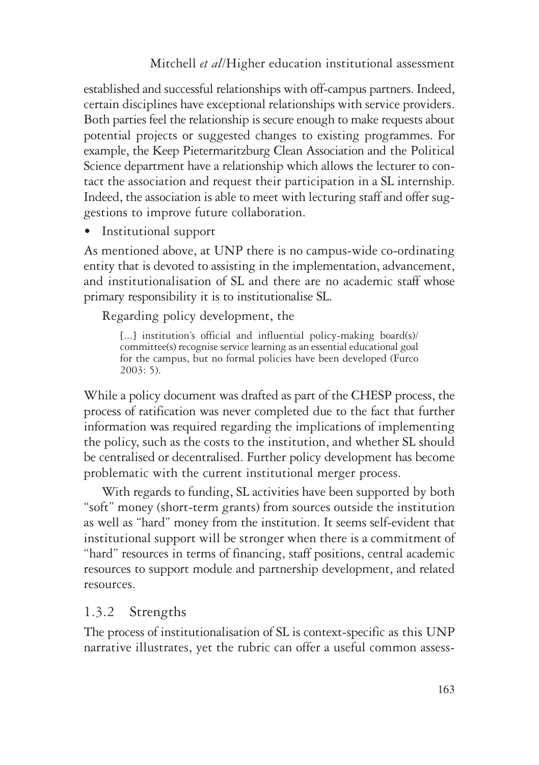established and successful relationships with off-campus partners. Indeed, certain disciplines have exceptional relationships with service providers. Both parties feel the relationship is secure enough to make requests about potential projects or suggested changes to existing programmes. For example, the Keep Pietermaritzburg Clean Association and the Political Science department have a relationship which allows the lecturer to contact the association and request their participation in a SL internship. Indeed, the association is able to meet with lecturing staff and offer suggestions to improve future collaboration.

• Institutional support

As mentioned above, at UNP there is no campus-wide co-ordinating entity that is devoted to assisting in the implementation, advancement, and institutionalisation of SL and there are no academic staff whose primary responsibility it is to institutionalise SL.

Regarding policy development, the

[...] institution's official and influential policy-making board(s)/ committee(s) recognise service learning as an essential educational goal for the campus, but no formal policies have been developed (Furco 2003: 5).

While a policy document was drafted as part of the CHESP process, the process of ratification was never completed due to the fact that further information was required regarding the implications of implementing the policy, such as the costs to the institution, and whether SL should be centralised or decentralised. Further policy development has become problematic with the current institutional merger process.

With regards to funding, SL activities have been supported by both "soft" money (short-term grants) from sources outside the institution as well as "hard" money from the institution. It seems self-evident that institutional support will be stronger when there is a commitment of "hard" resources in terms of financing, staff positions, central academic resources to support module and partnership development, and related resources.

## 1.3.2 Strengths

The process of institutionalisation of SL is context-specific as this UNP narrative illustrates, yet the rubric can offer a useful common assess-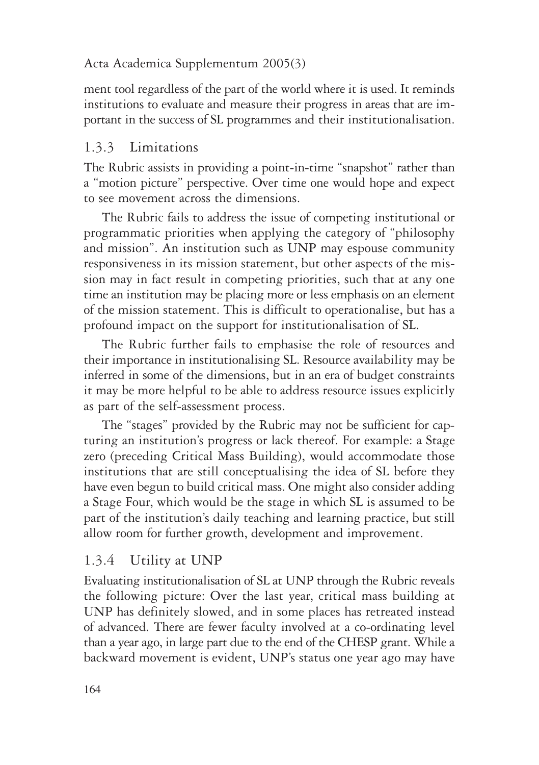ment tool regardless of the part of the world where it is used. It reminds institutions to evaluate and measure their progress in areas that are important in the success of SL programmes and their institutionalisation.

### 1.3.3 Limitations

The Rubric assists in providing a point-in-time "snapshot" rather than a "motion picture" perspective. Over time one would hope and expect to see movement across the dimensions.

The Rubric fails to address the issue of competing institutional or programmatic priorities when applying the category of "philosophy and mission". An institution such as UNP may espouse community responsiveness in its mission statement, but other aspects of the mission may in fact result in competing priorities, such that at any one time an institution may be placing more or less emphasis on an element of the mission statement. This is difficult to operationalise, but has a profound impact on the support for institutionalisation of SL.

The Rubric further fails to emphasise the role of resources and their importance in institutionalising SL. Resource availability may be inferred in some of the dimensions, but in an era of budget constraints it may be more helpful to be able to address resource issues explicitly as part of the self-assessment process.

The "stages" provided by the Rubric may not be sufficient for capturing an institution's progress or lack thereof. For example: a Stage zero (preceding Critical Mass Building), would accommodate those institutions that are still conceptualising the idea of SL before they have even begun to build critical mass. One might also consider adding a Stage Four, which would be the stage in which SL is assumed to be part of the institution's daily teaching and learning practice, but still allow room for further growth, development and improvement.

## 1.3.4 Utility at UNP

Evaluating institutionalisation of SL at UNP through the Rubric reveals the following picture: Over the last year, critical mass building at UNP has definitely slowed, and in some places has retreated instead of advanced. There are fewer faculty involved at a co-ordinating level than a year ago, in large part due to the end of the CHESP grant. While a backward movement is evident, UNP's status one year ago may have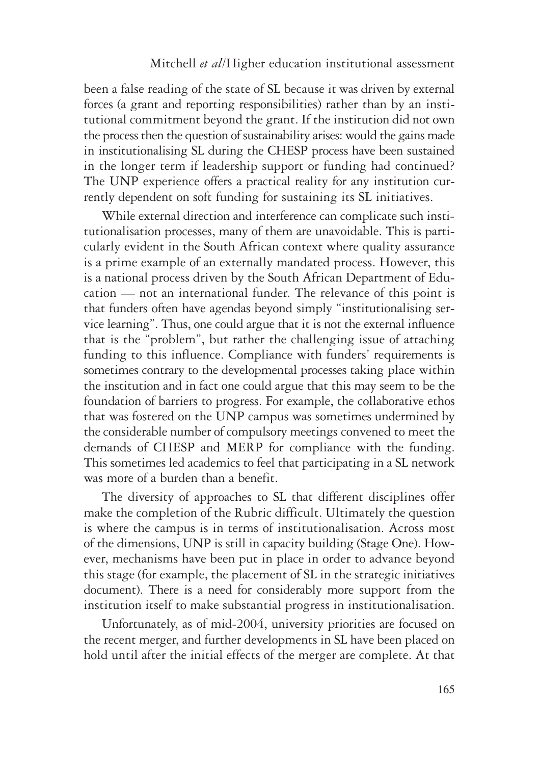been a false reading of the state of SL because it was driven by external forces (a grant and reporting responsibilities) rather than by an institutional commitment beyond the grant. If the institution did not own the process then the question of sustainability arises: would the gains made in institutionalising SL during the CHESP process have been sustained in the longer term if leadership support or funding had continued? The UNP experience offers a practical reality for any institution currently dependent on soft funding for sustaining its SL initiatives.

While external direction and interference can complicate such institutionalisation processes, many of them are unavoidable. This is particularly evident in the South African context where quality assurance is a prime example of an externally mandated process. However, this is a national process driven by the South African Department of Education — not an international funder. The relevance of this point is that funders often have agendas beyond simply "institutionalising service learning". Thus, one could argue that it is not the external influence that is the "problem", but rather the challenging issue of attaching funding to this influence. Compliance with funders' requirements is sometimes contrary to the developmental processes taking place within the institution and in fact one could argue that this may seem to be the foundation of barriers to progress. For example, the collaborative ethos that was fostered on the UNP campus was sometimes undermined by the considerable number of compulsory meetings convened to meet the demands of CHESP and MERP for compliance with the funding. This sometimes led academics to feel that participating in a SL network was more of a burden than a benefit.

The diversity of approaches to SL that different disciplines offer make the completion of the Rubric difficult. Ultimately the question is where the campus is in terms of institutionalisation. Across most of the dimensions, UNP is still in capacity building (Stage One). However, mechanisms have been put in place in order to advance beyond this stage (for example, the placement of SL in the strategic initiatives document). There is a need for considerably more support from the institution itself to make substantial progress in institutionalisation.

Unfortunately, as of mid-2004, university priorities are focused on the recent merger, and further developments in SL have been placed on hold until after the initial effects of the merger are complete. At that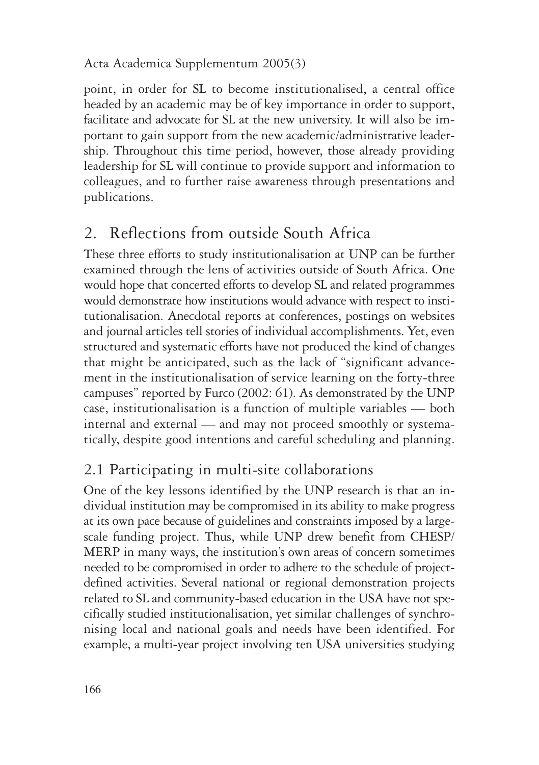point, in order for SL to become institutionalised, a central office headed by an academic may be of key importance in order to support, facilitate and advocate for SL at the new university. It will also be important to gain support from the new academic/administrative leadership. Throughout this time period, however, those already providing leadership for SL will continue to provide support and information to colleagues, and to further raise awareness through presentations and publications.

# 2. Reflections from outside South Africa

These three efforts to study institutionalisation at UNP can be further examined through the lens of activities outside of South Africa. One would hope that concerted efforts to develop SL and related programmes would demonstrate how institutions would advance with respect to institutionalisation. Anecdotal reports at conferences, postings on websites and journal articles tell stories of individual accomplishments. Yet, even structured and systematic efforts have not produced the kind of changes that might be anticipated, such as the lack of "significant advancement in the institutionalisation of service learning on the forty-three campuses" reported by Furco (2002: 61). As demonstrated by the UNP case, institutionalisation is a function of multiple variables — both internal and external — and may not proceed smoothly or systematically, despite good intentions and careful scheduling and planning.

# 2.1 Participating in multi-site collaborations

One of the key lessons identified by the UNP research is that an individual institution may be compromised in its ability to make progress at its own pace because of guidelines and constraints imposed by a largescale funding project. Thus, while UNP drew benefit from CHESP/ MERP in many ways, the institution's own areas of concern sometimes needed to be compromised in order to adhere to the schedule of projectdefined activities. Several national or regional demonstration projects related to SL and community-based education in the USA have not specifically studied institutionalisation, yet similar challenges of synchronising local and national goals and needs have been identified. For example, a multi-year project involving ten USA universities studying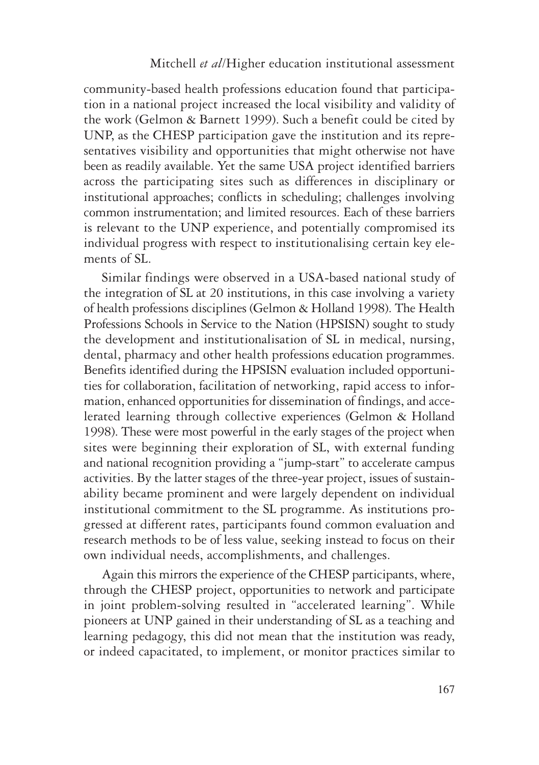community-based health professions education found that participation in a national project increased the local visibility and validity of the work (Gelmon & Barnett 1999). Such a benefit could be cited by UNP, as the CHESP participation gave the institution and its representatives visibility and opportunities that might otherwise not have been as readily available. Yet the same USA project identified barriers across the participating sites such as differences in disciplinary or institutional approaches; conflicts in scheduling; challenges involving common instrumentation; and limited resources. Each of these barriers is relevant to the UNP experience, and potentially compromised its individual progress with respect to institutionalising certain key elements of SL.

Similar findings were observed in a USA-based national study of the integration of SL at 20 institutions, in this case involving a variety of health professions disciplines (Gelmon & Holland 1998). The Health Professions Schools in Service to the Nation (HPSISN) sought to study the development and institutionalisation of SL in medical, nursing, dental, pharmacy and other health professions education programmes. Benefits identified during the HPSISN evaluation included opportunities for collaboration, facilitation of networking, rapid access to information, enhanced opportunities for dissemination of findings, and accelerated learning through collective experiences (Gelmon & Holland 1998). These were most powerful in the early stages of the project when sites were beginning their exploration of SL, with external funding and national recognition providing a "jump-start" to accelerate campus activities. By the latter stages of the three-year project, issues of sustainability became prominent and were largely dependent on individual institutional commitment to the SL programme. As institutions progressed at different rates, participants found common evaluation and research methods to be of less value, seeking instead to focus on their own individual needs, accomplishments, and challenges.

Again this mirrors the experience of the CHESP participants, where, through the CHESP project, opportunities to network and participate in joint problem-solving resulted in "accelerated learning". While pioneers at UNP gained in their understanding of SL as a teaching and learning pedagogy, this did not mean that the institution was ready, or indeed capacitated, to implement, or monitor practices similar to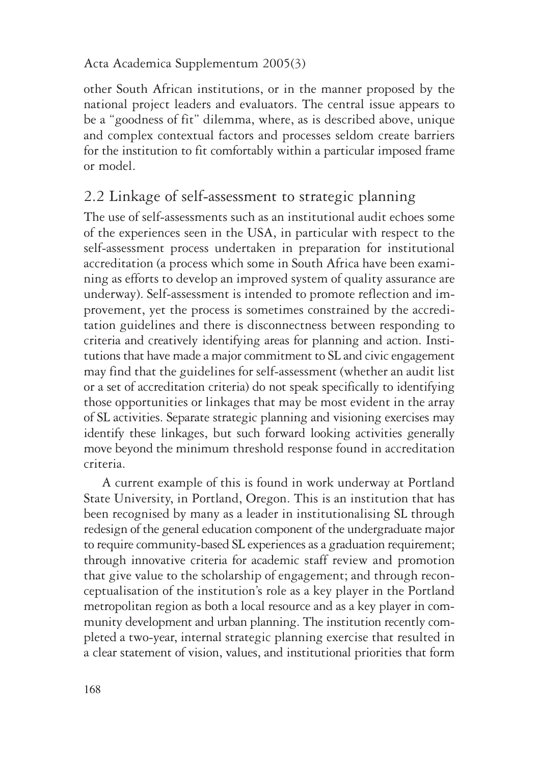other South African institutions, or in the manner proposed by the national project leaders and evaluators. The central issue appears to be a "goodness of fit" dilemma, where, as is described above, unique and complex contextual factors and processes seldom create barriers for the institution to fit comfortably within a particular imposed frame or model.

# 2.2 Linkage of self-assessment to strategic planning

The use of self-assessments such as an institutional audit echoes some of the experiences seen in the USA, in particular with respect to the self-assessment process undertaken in preparation for institutional accreditation (a process which some in South Africa have been examining as efforts to develop an improved system of quality assurance are underway). Self-assessment is intended to promote reflection and improvement, yet the process is sometimes constrained by the accreditation guidelines and there is disconnectness between responding to criteria and creatively identifying areas for planning and action. Institutions that have made a major commitment to SL and civic engagement may find that the guidelines for self-assessment (whether an audit list or a set of accreditation criteria) do not speak specifically to identifying those opportunities or linkages that may be most evident in the array of SL activities. Separate strategic planning and visioning exercises may identify these linkages, but such forward looking activities generally move beyond the minimum threshold response found in accreditation criteria.

A current example of this is found in work underway at Portland State University, in Portland, Oregon. This is an institution that has been recognised by many as a leader in institutionalising SL through redesign of the general education component of the undergraduate major to require community-based SL experiences as a graduation requirement; through innovative criteria for academic staff review and promotion that give value to the scholarship of engagement; and through reconceptualisation of the institution's role as a key player in the Portland metropolitan region as both a local resource and as a key player in community development and urban planning. The institution recently completed a two-year, internal strategic planning exercise that resulted in a clear statement of vision, values, and institutional priorities that form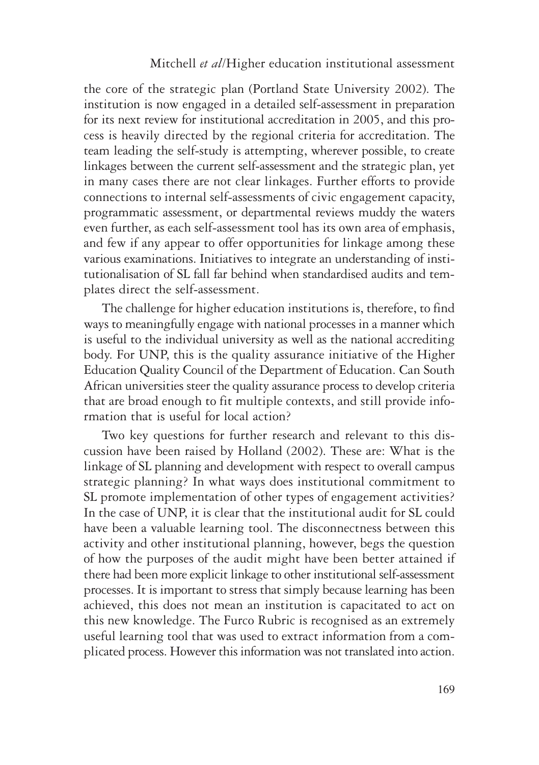the core of the strategic plan (Portland State University 2002). The institution is now engaged in a detailed self-assessment in preparation for its next review for institutional accreditation in 2005, and this process is heavily directed by the regional criteria for accreditation. The team leading the self-study is attempting, wherever possible, to create linkages between the current self-assessment and the strategic plan, yet in many cases there are not clear linkages. Further efforts to provide connections to internal self-assessments of civic engagement capacity, programmatic assessment, or departmental reviews muddy the waters even further, as each self-assessment tool has its own area of emphasis, and few if any appear to offer opportunities for linkage among these various examinations. Initiatives to integrate an understanding of institutionalisation of SL fall far behind when standardised audits and templates direct the self-assessment.

The challenge for higher education institutions is, therefore, to find ways to meaningfully engage with national processes in a manner which is useful to the individual university as well as the national accrediting body. For UNP, this is the quality assurance initiative of the Higher Education Quality Council of the Department of Education. Can South African universities steer the quality assurance process to develop criteria that are broad enough to fit multiple contexts, and still provide information that is useful for local action?

Two key questions for further research and relevant to this discussion have been raised by Holland (2002). These are: What is the linkage of SL planning and development with respect to overall campus strategic planning? In what ways does institutional commitment to SL promote implementation of other types of engagement activities? In the case of UNP, it is clear that the institutional audit for SL could have been a valuable learning tool. The disconnectness between this activity and other institutional planning, however, begs the question of how the purposes of the audit might have been better attained if there had been more explicit linkage to other institutional self-assessment processes. It is important to stress that simply because learning has been achieved, this does not mean an institution is capacitated to act on this new knowledge. The Furco Rubric is recognised as an extremely useful learning tool that was used to extract information from a complicated process. However this information was not translated into action.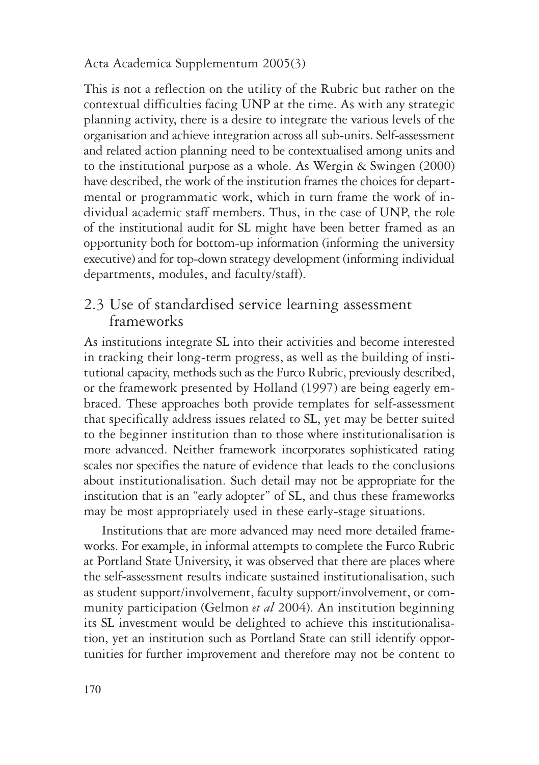This is not a reflection on the utility of the Rubric but rather on the contextual difficulties facing UNP at the time. As with any strategic planning activity, there is a desire to integrate the various levels of the organisation and achieve integration across all sub-units. Self-assessment and related action planning need to be contextualised among units and to the institutional purpose as a whole. As Wergin & Swingen (2000) have described, the work of the institution frames the choices for departmental or programmatic work, which in turn frame the work of individual academic staff members. Thus, in the case of UNP, the role of the institutional audit for SL might have been better framed as an opportunity both for bottom-up information (informing the university executive) and for top-down strategy development (informing individual departments, modules, and faculty/staff).

### 2.3 Use of standardised service learning assessment frameworks

As institutions integrate SL into their activities and become interested in tracking their long-term progress, as well as the building of institutional capacity, methods such as the Furco Rubric, previously described, or the framework presented by Holland (1997) are being eagerly embraced. These approaches both provide templates for self-assessment that specifically address issues related to SL, yet may be better suited to the beginner institution than to those where institutionalisation is more advanced. Neither framework incorporates sophisticated rating scales nor specifies the nature of evidence that leads to the conclusions about institutionalisation. Such detail may not be appropriate for the institution that is an "early adopter" of SL, and thus these frameworks may be most appropriately used in these early-stage situations.

Institutions that are more advanced may need more detailed frameworks. For example, in informal attempts to complete the Furco Rubric at Portland State University, it was observed that there are places where the self-assessment results indicate sustained institutionalisation, such as student support/involvement, faculty support/involvement, or community participation (Gelmon *et al* 2004). An institution beginning its SL investment would be delighted to achieve this institutionalisation, yet an institution such as Portland State can still identify opportunities for further improvement and therefore may not be content to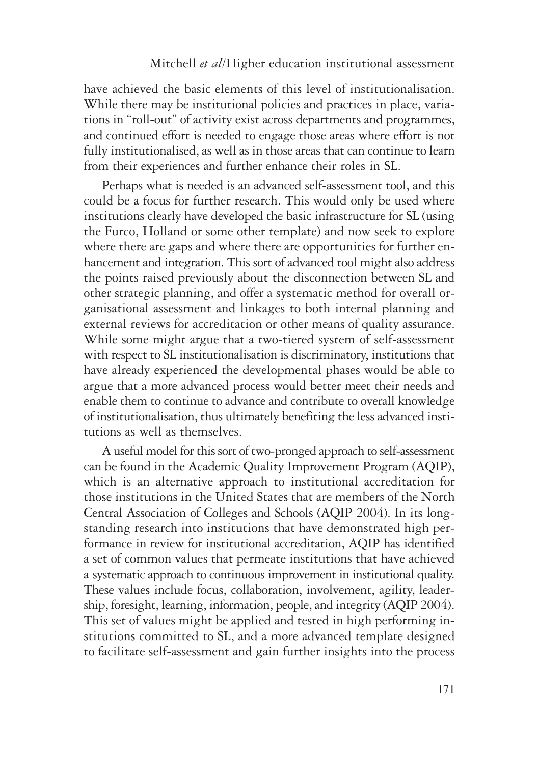have achieved the basic elements of this level of institutionalisation. While there may be institutional policies and practices in place, variations in "roll-out" of activity exist across departments and programmes, and continued effort is needed to engage those areas where effort is not fully institutionalised, as well as in those areas that can continue to learn from their experiences and further enhance their roles in SL.

Perhaps what is needed is an advanced self-assessment tool, and this could be a focus for further research. This would only be used where institutions clearly have developed the basic infrastructure for SL (using the Furco, Holland or some other template) and now seek to explore where there are gaps and where there are opportunities for further enhancement and integration. This sort of advanced tool might also address the points raised previously about the disconnection between SL and other strategic planning, and offer a systematic method for overall organisational assessment and linkages to both internal planning and external reviews for accreditation or other means of quality assurance. While some might argue that a two-tiered system of self-assessment with respect to SL institutionalisation is discriminatory, institutions that have already experienced the developmental phases would be able to argue that a more advanced process would better meet their needs and enable them to continue to advance and contribute to overall knowledge of institutionalisation, thus ultimately benefiting the less advanced institutions as well as themselves.

A useful model for this sort of two-pronged approach to self-assessment can be found in the Academic Quality Improvement Program (AQIP), which is an alternative approach to institutional accreditation for those institutions in the United States that are members of the North Central Association of Colleges and Schools (AQIP 2004). In its longstanding research into institutions that have demonstrated high performance in review for institutional accreditation, AQIP has identified a set of common values that permeate institutions that have achieved a systematic approach to continuous improvement in institutional quality. These values include focus, collaboration, involvement, agility, leadership, foresight, learning, information, people, and integrity (AQIP 2004). This set of values might be applied and tested in high performing institutions committed to SL, and a more advanced template designed to facilitate self-assessment and gain further insights into the process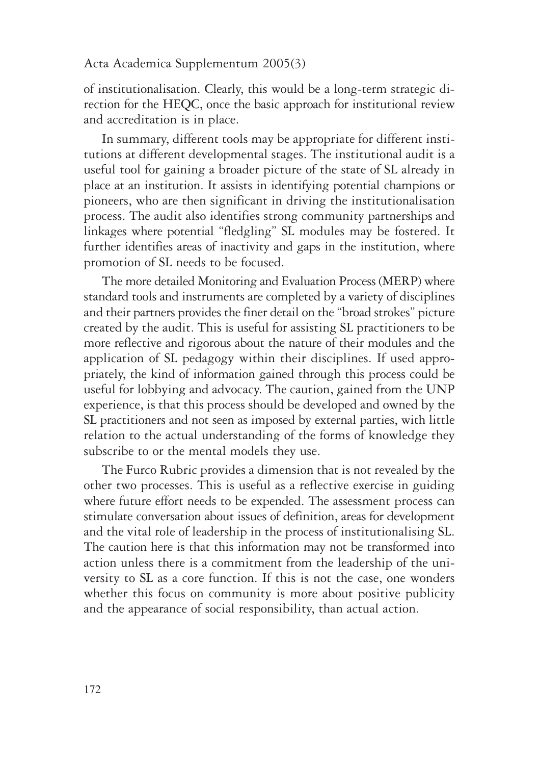of institutionalisation. Clearly, this would be a long-term strategic direction for the HEQC, once the basic approach for institutional review and accreditation is in place.

In summary, different tools may be appropriate for different institutions at different developmental stages. The institutional audit is a useful tool for gaining a broader picture of the state of SL already in place at an institution. It assists in identifying potential champions or pioneers, who are then significant in driving the institutionalisation process. The audit also identifies strong community partnerships and linkages where potential "fledgling" SL modules may be fostered. It further identifies areas of inactivity and gaps in the institution, where promotion of SL needs to be focused.

The more detailed Monitoring and Evaluation Process (MERP) where standard tools and instruments are completed by a variety of disciplines and their partners provides the finer detail on the "broad strokes" picture created by the audit. This is useful for assisting SL practitioners to be more reflective and rigorous about the nature of their modules and the application of SL pedagogy within their disciplines. If used appropriately, the kind of information gained through this process could be useful for lobbying and advocacy. The caution, gained from the UNP experience, is that this process should be developed and owned by the SL practitioners and not seen as imposed by external parties, with little relation to the actual understanding of the forms of knowledge they subscribe to or the mental models they use.

The Furco Rubric provides a dimension that is not revealed by the other two processes. This is useful as a reflective exercise in guiding where future effort needs to be expended. The assessment process can stimulate conversation about issues of definition, areas for development and the vital role of leadership in the process of institutionalising SL. The caution here is that this information may not be transformed into action unless there is a commitment from the leadership of the university to SL as a core function. If this is not the case, one wonders whether this focus on community is more about positive publicity and the appearance of social responsibility, than actual action.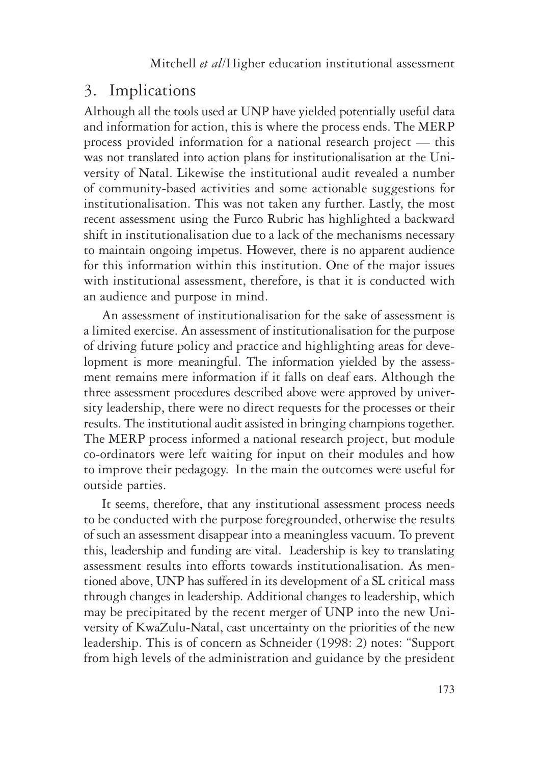### 3. Implications

Although all the tools used at UNP have yielded potentially useful data and information for action, this is where the process ends. The MERP process provided information for a national research project — this was not translated into action plans for institutionalisation at the University of Natal. Likewise the institutional audit revealed a number of community-based activities and some actionable suggestions for institutionalisation. This was not taken any further. Lastly, the most recent assessment using the Furco Rubric has highlighted a backward shift in institutionalisation due to a lack of the mechanisms necessary to maintain ongoing impetus. However, there is no apparent audience for this information within this institution. One of the major issues with institutional assessment, therefore, is that it is conducted with an audience and purpose in mind.

An assessment of institutionalisation for the sake of assessment is a limited exercise. An assessment of institutionalisation for the purpose of driving future policy and practice and highlighting areas for development is more meaningful. The information yielded by the assessment remains mere information if it falls on deaf ears. Although the three assessment procedures described above were approved by university leadership, there were no direct requests for the processes or their results. The institutional audit assisted in bringing champions together. The MERP process informed a national research project, but module co-ordinators were left waiting for input on their modules and how to improve their pedagogy. In the main the outcomes were useful for outside parties.

It seems, therefore, that any institutional assessment process needs to be conducted with the purpose foregrounded, otherwise the results of such an assessment disappear into a meaningless vacuum. To prevent this, leadership and funding are vital. Leadership is key to translating assessment results into efforts towards institutionalisation. As mentioned above, UNP has suffered in its development of a SL critical mass through changes in leadership. Additional changes to leadership, which may be precipitated by the recent merger of UNP into the new University of KwaZulu-Natal, cast uncertainty on the priorities of the new leadership. This is of concern as Schneider (1998: 2) notes: "Support from high levels of the administration and guidance by the president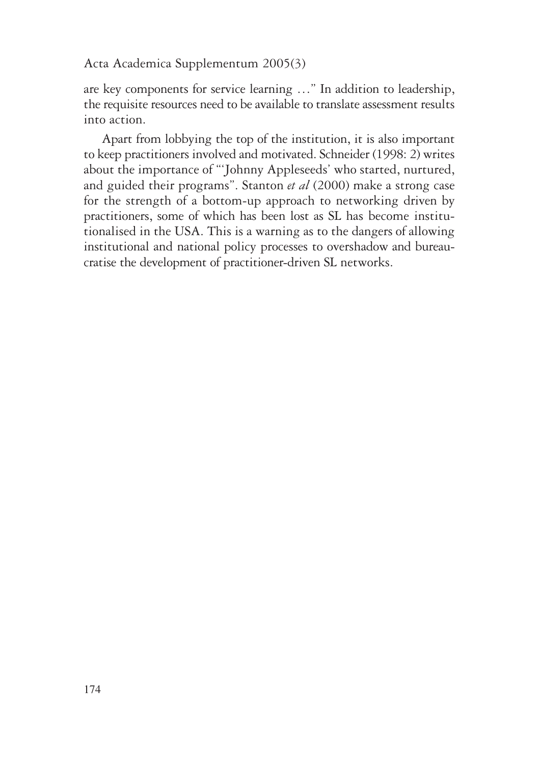are key components for service learning …" In addition to leadership, the requisite resources need to be available to translate assessment results into action.

Apart from lobbying the top of the institution, it is also important to keep practitioners involved and motivated. Schneider (1998: 2) writes about the importance of "'Johnny Appleseeds' who started, nurtured, and guided their programs". Stanton *et al* (2000) make a strong case for the strength of a bottom-up approach to networking driven by practitioners, some of which has been lost as SL has become institutionalised in the USA. This is a warning as to the dangers of allowing institutional and national policy processes to overshadow and bureaucratise the development of practitioner-driven SL networks.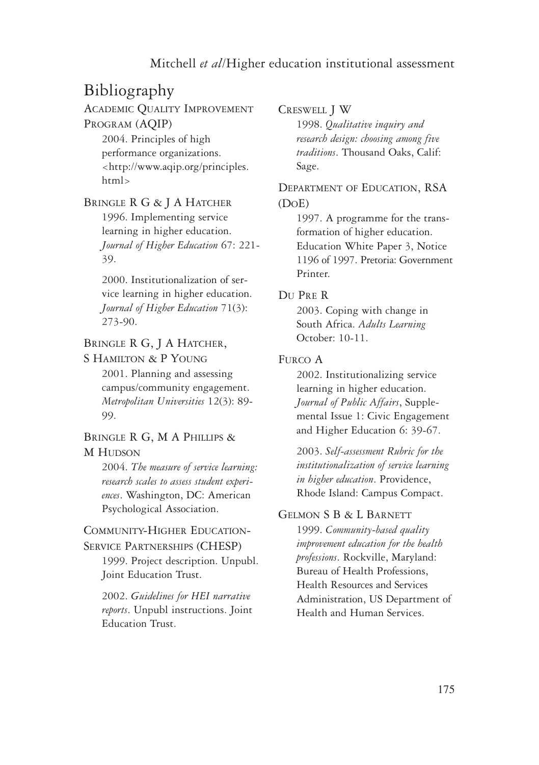# Bibliography

ACADEMIC QUALITY IMPROVEMENT PROGRAM (AQIP)

> 2004. Principles of high performance organizations. <http://www.aqip.org/principles. html>

#### BRINGLE R G & J A HATCHER

1996. Implementing service learning in higher education. *Journal of Higher Education* 67: 221- 39.

2000. Institutionalization of service learning in higher education. *Journal of Higher Education* 71(3): 273-90.

BRINGLE R G, J A HATCHER,

S HAMILTON & P YOUNG

2001. Planning and assessing campus/community engagement. *Metropolitan Universities* 12(3): 89- 99.

BRINGLE R G, M A PHILLIPS & **M** HUDSON

> 2004. *The measure of service learning: research scales to assess student experiences*. Washington, DC: American Psychological Association.

#### COMMUNITY-HIGHER EDUCATION-SERVICE PARTNERSHIPS (CHESP)

1999. Project description. Unpubl. Joint Education Trust.

2002. *Guidelines for HEI narrative reports*. Unpubl instructions. Joint Education Trust.

CRESWELL J W

1998. *Qualitative inquiry and research design: choosing among five traditions*. Thousand Oaks, Calif: Sage.

DEPARTMENT OF EDUCATION, RSA (DOE)

> 1997. A programme for the transformation of higher education. Education White Paper 3, Notice 1196 of 1997. Pretoria: Government Printer.

#### DU PRE R

2003. Coping with change in South Africa. *Adults Learning* October: 10-11.

#### FURCO A

2002. Institutionalizing service learning in higher education. *Journal of Public Affairs*, Supplemental Issue 1: Civic Engagement and Higher Education 6: 39-67.

2003. *Self-assessment Rubric for the institutionalization of service learning in higher education*. Providence, Rhode Island: Campus Compact.

#### GELMON S B & L BARNETT

1999. *Community-based quality improvement education for the health professions*. Rockville, Maryland: Bureau of Health Professions, Health Resources and Services Administration, US Department of Health and Human Services.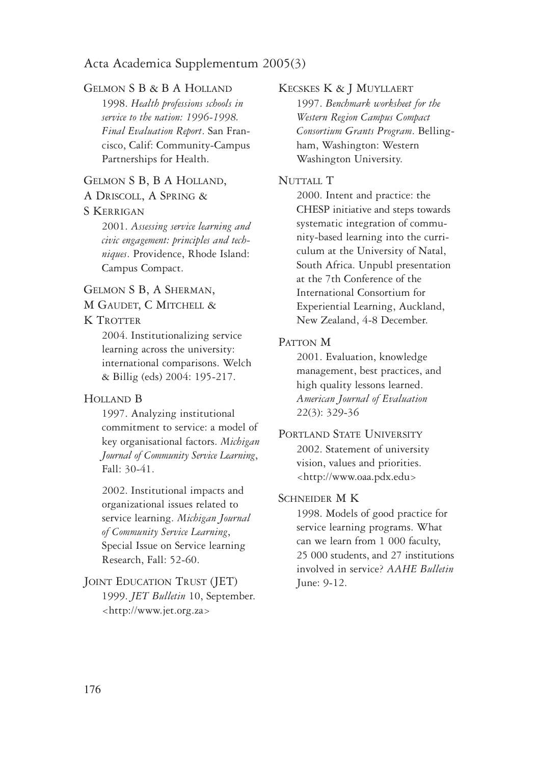#### GELMON S B & B A HOLLAND

1998. *Health professions schools in service to the nation: 1996-1998. Final Evaluation Report*. San Francisco, Calif: Community-Campus Partnerships for Health.

#### GELMON S B, B A HOLLAND,

A DRISCOLL, A SPRING &

#### S KERRIGAN

2001. *Assessing service learning and civic engagement: principles and techniques*. Providence, Rhode Island: Campus Compact.

#### GELMON S B, A SHERMAN,

M GAUDET, C MITCHELL &

#### K TROTTER

2004. Institutionalizing service learning across the university: international comparisons. Welch & Billig (eds) 2004: 195-217.

#### HOLLAND B

1997. Analyzing institutional commitment to service: a model of key organisational factors. *Michigan Journal of Community Service Learning*, Fall: 30-41.

2002. Institutional impacts and organizational issues related to service learning. *Michigan Journal of Community Service Learning*, Special Issue on Service learning Research, Fall: 52-60.

#### JOINT EDUCATION TRUST (JET) 1999. *JET Bulletin* 10, September. <http://www.jet.org.za>

#### KECSKES K & J MUYLLAERT

1997. *Benchmark worksheet for the Western Region Campus Compact Consortium Grants Program*. Bellingham, Washington: Western Washington University.

#### NUTTALL T

2000. Intent and practice: the CHESP initiative and steps towards systematic integration of community-based learning into the curriculum at the University of Natal, South Africa. Unpubl presentation at the 7th Conference of the International Consortium for Experiential Learning, Auckland, New Zealand, 4-8 December.

#### PATTON M

2001. Evaluation, knowledge management, best practices, and high quality lessons learned. *American Journal of Evaluation* 22(3): 329-36

#### PORTLAND STATE UNIVERSITY 2002. Statement of university vision, values and priorities. <http://www.oaa.pdx.edu>

#### SCHNEIDER M K

1998. Models of good practice for service learning programs. What can we learn from 1 000 faculty, 25 000 students, and 27 institutions involved in service? *AAHE Bulletin* June: 9-12.